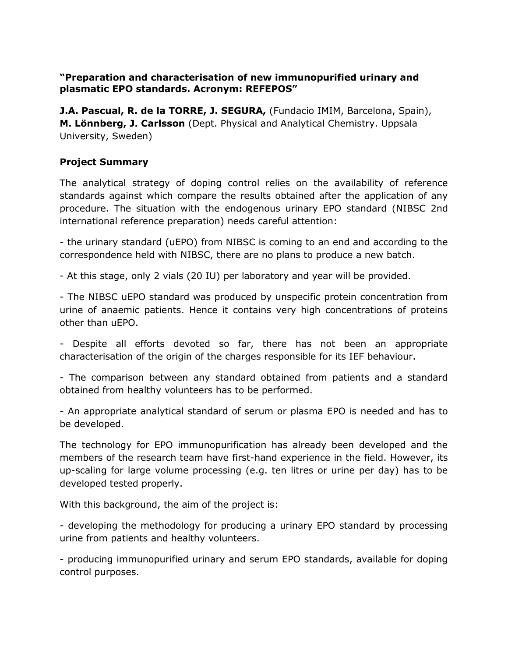## **"Preparation and characterisation of new immunopurified urinary and plasmatic EPO standards. Acronym: REFEPOS"**

**J.A. Pascual, R. de la TORRE, J. SEGURA,** (Fundacio IMIM, Barcelona, Spain), **M. Lönnberg, J. Carlsson** (Dept. Physical and Analytical Chemistry. Uppsala University, Sweden)

## **Project Summary**

The analytical strategy of doping control relies on the availability of reference standards against which compare the results obtained after the application of any procedure. The situation with the endogenous urinary EPO standard (NIBSC 2nd international reference preparation) needs careful attention:

- the urinary standard (uEPO) from NIBSC is coming to an end and according to the correspondence held with NIBSC, there are no plans to produce a new batch.

- At this stage, only 2 vials (20 IU) per laboratory and year will be provided.

- The NIBSC uEPO standard was produced by unspecific protein concentration from urine of anaemic patients. Hence it contains very high concentrations of proteins other than uEPO.

- Despite all efforts devoted so far, there has not been an appropriate characterisation of the origin of the charges responsible for its IEF behaviour.

- The comparison between any standard obtained from patients and a standard obtained from healthy volunteers has to be performed.

- An appropriate analytical standard of serum or plasma EPO is needed and has to be developed.

The technology for EPO immunopurification has already been developed and the members of the research team have first-hand experience in the field. However, its up-scaling for large volume processing (e.g. ten litres or urine per day) has to be developed tested properly.

With this background, the aim of the project is:

- developing the methodology for producing a urinary EPO standard by processing urine from patients and healthy volunteers.

- producing immunopurified urinary and serum EPO standards, available for doping control purposes.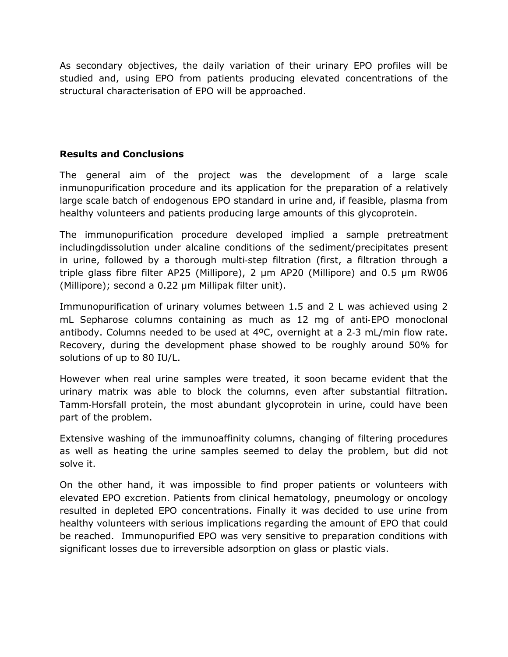As secondary objectives, the daily variation of their urinary EPO profiles will be studied and, using EPO from patients producing elevated concentrations of the structural characterisation of EPO will be approached.

## **Results and Conclusions**

The general aim of the project was the development of a large scale inmunopurification procedure and its application for the preparation of a relatively large scale batch of endogenous EPO standard in urine and, if feasible, plasma from healthy volunteers and patients producing large amounts of this glycoprotein.

The immunopurification procedure developed implied a sample pretreatment includingdissolution under alcaline conditions of the sediment/precipitates present in urine, followed by a thorough multi‐step filtration (first, a filtration through a triple glass fibre filter AP25 (Millipore), 2 µm AP20 (Millipore) and 0.5 µm RW06 (Millipore); second a 0.22 µm Millipak filter unit).

Immunopurification of urinary volumes between 1.5 and 2 L was achieved using 2 mL Sepharose columns containing as much as 12 mg of anti‐EPO monoclonal antibody. Columns needed to be used at 4ºC, overnight at a 2‐3 mL/min flow rate. Recovery, during the development phase showed to be roughly around 50% for solutions of up to 80 IU/L.

However when real urine samples were treated, it soon became evident that the urinary matrix was able to block the columns, even after substantial filtration. Tamm‐Horsfall protein, the most abundant glycoprotein in urine, could have been part of the problem.

Extensive washing of the immunoaffinity columns, changing of filtering procedures as well as heating the urine samples seemed to delay the problem, but did not solve it.

On the other hand, it was impossible to find proper patients or volunteers with elevated EPO excretion. Patients from clinical hematology, pneumology or oncology resulted in depleted EPO concentrations. Finally it was decided to use urine from healthy volunteers with serious implications regarding the amount of EPO that could be reached. Immunopurified EPO was very sensitive to preparation conditions with significant losses due to irreversible adsorption on glass or plastic vials.